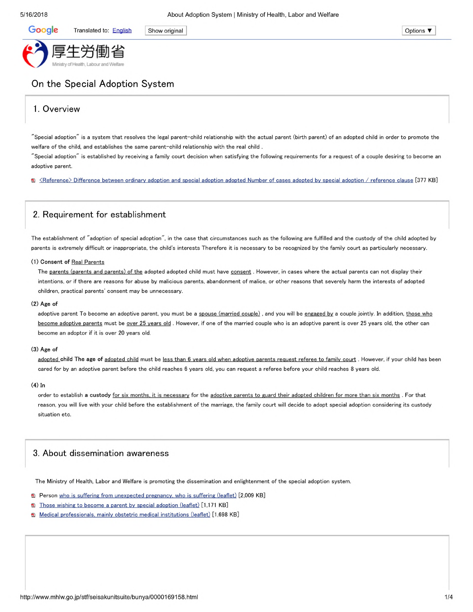**Google** Translated to: English Show original **Contact Show of Show of Show of Show of Show of Show original Options**  $\blacktriangledown$ 

# On the Special Adoption System

## 1. Overview

"Special adoption" is a system that resolves the legal parent-child relationship with the actual parent (birth parent) of an adopted child in order to promote the welfare of the child, and establishes the same parent-child relationship with the real child

"Special adoption" is established by receiving a family court decision when satisfying the following requirements for a request of a couple desiring to become an adoptive parent.

Ei <Reference> Difference between ordinary adoption and special adoption adopted Number of cases adopted bv special adoption / reference clause [377 KB]

## 2. Requirement for establishment

The establishment of "adoption of special adoption", in the case that circumstances such as the following are fulfilled and the custody of the child adopted by parents is extremely difficult or inappropriate, the child's interests Therefore it is necessary to be recognized by the family court as particularly necessary.

#### **(1) Consent of** Real Parents

The parents (parents and parents) of the adopted adopted child must have consent. However, in cases where the actual parents can not display their intentions, or if there are reasons for abuse by malicious parents, abandonment of malice, or other reasons that severely harm the interests of adopted children, practical parents' consent may be unnecessary.

#### **(2) Age of**

adoptive parent To become an adoptive parent, you must be a spouse (married couple), and you will be engaged by a couple jointly. In addition, those who become adoptive parents must be over 25 years old. However, if one of the married couple who is an adoptive parent is over 25 years old, the other can become an adoptor if it is over 20 years old.

#### **(3) Age of**

adopted child The age of adopted child must be less than 6 years old when adoptive parents request referee to family court. However, if your child has been cared for by an adoptive parent before the child reaches 6 years old, you can request <sup>a</sup> referee before your child reaches 8 years old.

#### **(4) In**

order to establish **a custody** for six months, it is necessary for the adoptive parents to guard their adopted children for more than six months . For that reason, you will live with your child before the establishment of the marriage, the family court will decide to adopt special adoption considering its custody situation etc.

### 3. About dissemination awareness

The Ministry of Health, Labor and Welfare is promoting the dissemination and enlightenment of the special adoption system.

- **a** Person who is suffering from unexpected pregnancy, who is suffering (leaflet) [2,009 KB]
- **a** Those wishing to become a parent by special adoption (leaflet) [1,171 KB]
- El Medical professionals, mainly obstetric medical institutions (leaflet) Tl.698 KB]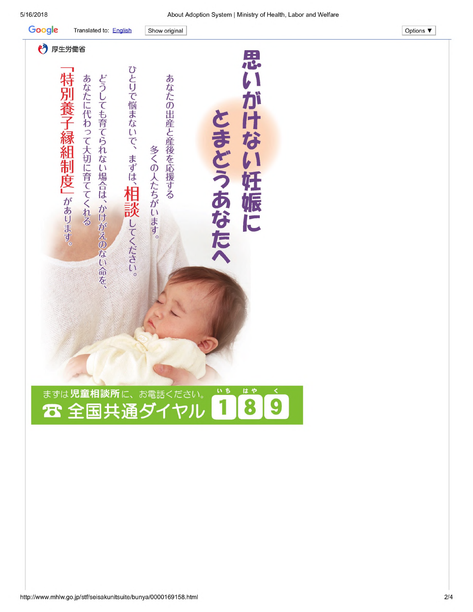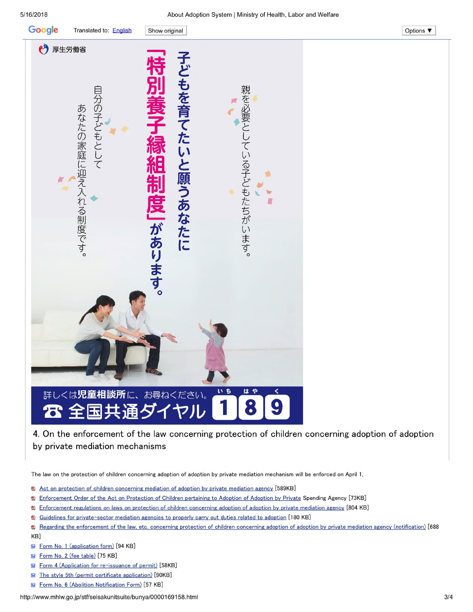

## by private mediation mechanisms

The law on the protection of children concerning adoption of adoption by private mediation mechanism will be enforced on April 1,

- fD Act on protection of children concerning mediation of adoption bv private mediation agency [589KB]
- © Enforcement Order of the Act on Protection of Children pertaining to Adoption of Adoption bv Private Spending Agency [73KB]
- © Enforcement regulations on laws on protection of children concerning adoption of adoption bv private mediation agency [804 KB]
- © Guidelines for private-sector mediation agencies to properly carry out duties related to adoption T180 KBl
- © Regarding the enforcement of the law, etc, concerning protection of children concerning adoption of adoption bv private mediation agency (notification) [688 KB]
- **Form No. 1 (application form)** [94 KB]
- **Form No. 2 (fee table)** [75 KB]
- **Form 4 (Application for re-issuance of permit)** [58KB]
- **M** The style 5th (permit certificate application) [90KB]
- **Form No. 6 (Abolition Notification Form)** [57 KB]

<http://www.mhlw.go.jp/stf/seisakunitsuite/bunya/0000169158.html> 3/4